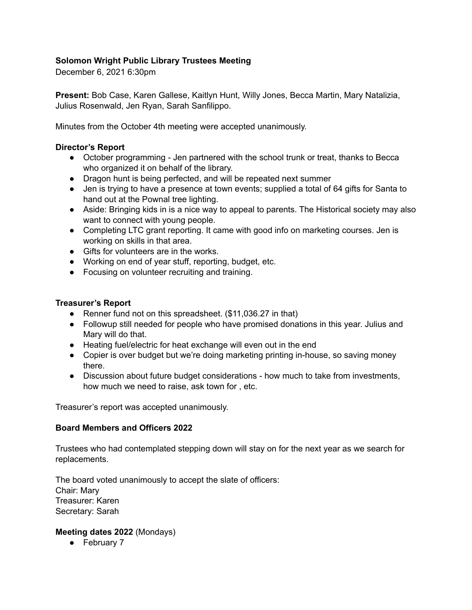# **Solomon Wright Public Library Trustees Meeting**

December 6, 2021 6:30pm

**Present:** Bob Case, Karen Gallese, Kaitlyn Hunt, Willy Jones, Becca Martin, Mary Natalizia, Julius Rosenwald, Jen Ryan, Sarah Sanfilippo.

Minutes from the October 4th meeting were accepted unanimously.

#### **Director's Report**

- October programming Jen partnered with the school trunk or treat, thanks to Becca who organized it on behalf of the library.
- Dragon hunt is being perfected, and will be repeated next summer
- Jen is trying to have a presence at town events; supplied a total of 64 gifts for Santa to hand out at the Pownal tree lighting.
- Aside: Bringing kids in is a nice way to appeal to parents. The Historical society may also want to connect with young people.
- Completing LTC grant reporting. It came with good info on marketing courses. Jen is working on skills in that area.
- Gifts for volunteers are in the works.
- Working on end of year stuff, reporting, budget, etc.
- Focusing on volunteer recruiting and training.

#### **Treasurer's Report**

- Renner fund not on this spreadsheet. (\$11,036.27 in that)
- Followup still needed for people who have promised donations in this year. Julius and Mary will do that.
- Heating fuel/electric for heat exchange will even out in the end
- Copier is over budget but we're doing marketing printing in-house, so saving money there.
- Discussion about future budget considerations how much to take from investments, how much we need to raise, ask town for , etc.

Treasurer's report was accepted unanimously.

## **Board Members and Officers 2022**

Trustees who had contemplated stepping down will stay on for the next year as we search for replacements.

The board voted unanimously to accept the slate of officers: Chair: Mary Treasurer: Karen Secretary: Sarah

## **Meeting dates 2022** (Mondays)

● February 7